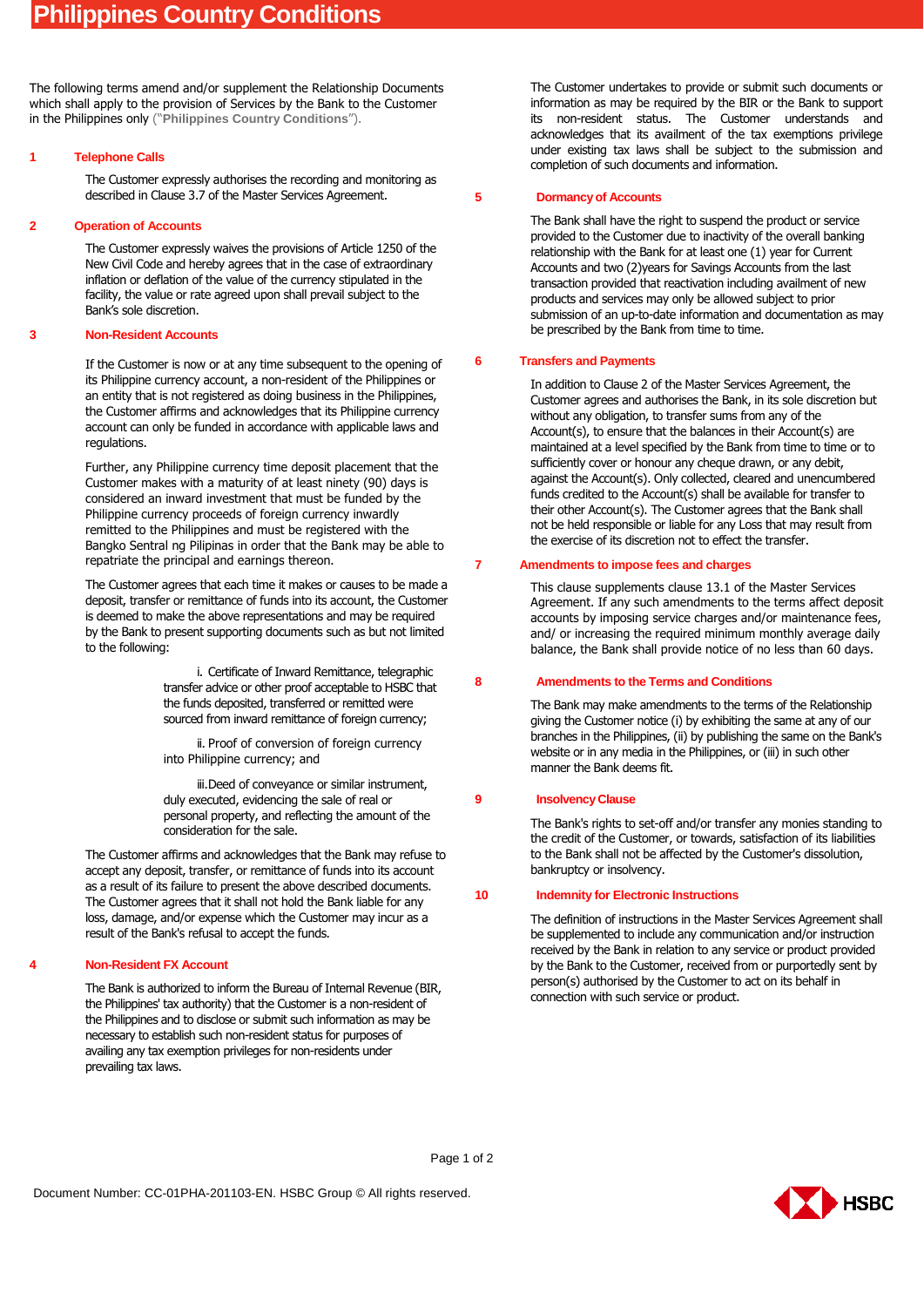The following terms amend and/or supplement the Relationship Documents which shall apply to the provision of Services by the Bank to the Customer in the Philippines only ("**Philippines Country Conditions**").

### **1 Telephone Calls**

The Customer expressly authorises the recording and monitoring as described in Clause 3.7 of the Master Services Agreement.

### **2 Operation of Accounts**

The Customer expressly waives the provisions of Article 1250 of the New Civil Code and hereby agrees that in the case of extraordinary inflation or deflation of the value of the currency stipulated in the facility, the value or rate agreed upon shall prevail subject to the Bank's sole discretion.

### **3 Non-Resident Accounts**

If the Customer is now or at any time subsequent to the opening of its Philippine currency account, a non-resident of the Philippines or an entity that is not registered as doing business in the Philippines, the Customer affirms and acknowledges that its Philippine currency account can only be funded in accordance with applicable laws and regulations.

Further, any Philippine currency time deposit placement that the Customer makes with a maturity of at least ninety (90) days is considered an inward investment that must be funded by the Philippine currency proceeds of foreign currency inwardly remitted to the Philippines and must be registered with the Bangko Sentral ng Pilipinas in order that the Bank may be able to repatriate the principal and earnings thereon.

The Customer agrees that each time it makes or causes to be made a deposit, transfer or remittance of funds into its account, the Customer is deemed to make the above representations and may be required by the Bank to present supporting documents such as but not limited to the following:

> i. Certificate of Inward Remittance, telegraphic transfer advice or other proof acceptable to HSBC that the funds deposited, transferred or remitted were sourced from inward remittance of foreign currency;

ii. Proof of conversion of foreign currency into Philippine currency; and

iii.Deed of conveyance or similar instrument, duly executed, evidencing the sale of real or personal property, and reflecting the amount of the consideration for the sale.

The Customer affirms and acknowledges that the Bank may refuse to accept any deposit, transfer, or remittance of funds into its account as a result of its failure to present the above described documents. The Customer agrees that it shall not hold the Bank liable for any loss, damage, and/or expense which the Customer may incur as a result of the Bank's refusal to accept the funds.

## **4 Non-Resident FX Account**

The Bank is authorized to inform the Bureau of Internal Revenue (BIR, the Philippines' tax authority) that the Customer is a non-resident of the Philippines and to disclose or submit such information as may be necessary to establish such non-resident status for purposes of availing any tax exemption privileges for non-residents under prevailing tax laws.

The Customer undertakes to provide or submit such documents or information as may be required by the BIR or the Bank to support its non-resident status. The Customer understands and acknowledges that its availment of the tax exemptions privilege under existing tax laws shall be subject to the submission and completion of such documents and information.

#### **5 Dormancy of Accounts**

The Bank shall have the right to suspend the product or service provided to the Customer due to inactivity of the overall banking relationship with the Bank for at least one (1) year for Current Accounts and two (2)years for Savings Accounts from the last transaction provided that reactivation including availment of new products and services may only be allowed subject to prior submission of an up-to-date information and documentation as may be prescribed by the Bank from time to time.

#### **6 Transfers and Payments**

In addition to Clause 2 of the Master Services Agreement, the Customer agrees and authorises the Bank, in its sole discretion but without any obligation, to transfer sums from any of the Account(s), to ensure that the balances in their Account(s) are maintained at a level specified by the Bank from time to time or to sufficiently cover or honour any cheque drawn, or any debit, against the Account(s). Only collected, cleared and unencumbered funds credited to the Account(s) shall be available for transfer to their other Account(s). The Customer agrees that the Bank shall not be held responsible or liable for any Loss that may result from the exercise of its discretion not to effect the transfer.

#### **7 Amendments to impose fees and charges**

This clause supplements clause 13.1 of the Master Services Agreement. If any such amendments to the terms affect deposit accounts by imposing service charges and/or maintenance fees, and/ or increasing the required minimum monthly average daily balance, the Bank shall provide notice of no less than 60 days.

## **8 Amendments to the Terms and Conditions**

The Bank may make amendments to the terms of the Relationship giving the Customer notice (i) by exhibiting the same at any of our branches in the Philippines, (ii) by publishing the same on the Bank's website or in any media in the Philippines, or (iii) in such other manner the Bank deems fit.

# **9 Insolvency Clause**

The Bank's rights to set-off and/or transfer any monies standing to the credit of the Customer, or towards, satisfaction of its liabilities to the Bank shall not be affected by the Customer's dissolution, bankruptcy or insolvency.

# **10 Indemnity for Electronic Instructions**

The definition of instructions in the Master Services Agreement shall be supplemented to include any communication and/or instruction received by the Bank in relation to any service or product provided by the Bank to the Customer, received from or purportedly sent by person(s) authorised by the Customer to act on its behalf in connection with such service or product.

Page 1 of 2